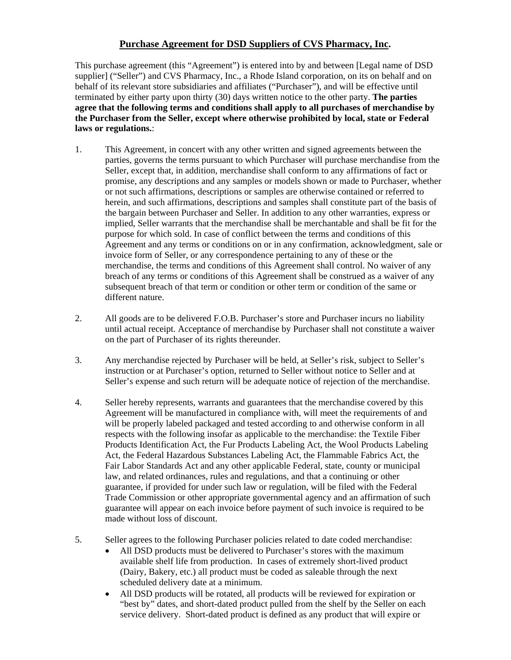## **Purchase Agreement for DSD Suppliers of CVS Pharmacy, Inc.**

This purchase agreement (this "Agreement") is entered into by and between [Legal name of DSD supplier] ("Seller") and CVS Pharmacy, Inc., a Rhode Island corporation, on its on behalf and on behalf of its relevant store subsidiaries and affiliates ("Purchaser"), and will be effective until terminated by either party upon thirty (30) days written notice to the other party. **The parties agree that the following terms and conditions shall apply to all purchases of merchandise by the Purchaser from the Seller, except where otherwise prohibited by local, state or Federal laws or regulations.**:

- 1. This Agreement, in concert with any other written and signed agreements between the parties, governs the terms pursuant to which Purchaser will purchase merchandise from the Seller, except that, in addition, merchandise shall conform to any affirmations of fact or promise, any descriptions and any samples or models shown or made to Purchaser, whether or not such affirmations, descriptions or samples are otherwise contained or referred to herein, and such affirmations, descriptions and samples shall constitute part of the basis of the bargain between Purchaser and Seller. In addition to any other warranties, express or implied, Seller warrants that the merchandise shall be merchantable and shall be fit for the purpose for which sold. In case of conflict between the terms and conditions of this Agreement and any terms or conditions on or in any confirmation, acknowledgment, sale or invoice form of Seller, or any correspondence pertaining to any of these or the merchandise, the terms and conditions of this Agreement shall control. No waiver of any breach of any terms or conditions of this Agreement shall be construed as a waiver of any subsequent breach of that term or condition or other term or condition of the same or different nature.
- 2. All goods are to be delivered F.O.B. Purchaser's store and Purchaser incurs no liability until actual receipt. Acceptance of merchandise by Purchaser shall not constitute a waiver on the part of Purchaser of its rights thereunder.
- 3. Any merchandise rejected by Purchaser will be held, at Seller's risk, subject to Seller's instruction or at Purchaser's option, returned to Seller without notice to Seller and at Seller's expense and such return will be adequate notice of rejection of the merchandise.
- 4. Seller hereby represents, warrants and guarantees that the merchandise covered by this Agreement will be manufactured in compliance with, will meet the requirements of and will be properly labeled packaged and tested according to and otherwise conform in all respects with the following insofar as applicable to the merchandise: the Textile Fiber Products Identification Act, the Fur Products Labeling Act, the Wool Products Labeling Act, the Federal Hazardous Substances Labeling Act, the Flammable Fabrics Act, the Fair Labor Standards Act and any other applicable Federal, state, county or municipal law, and related ordinances, rules and regulations, and that a continuing or other guarantee, if provided for under such law or regulation, will be filed with the Federal Trade Commission or other appropriate governmental agency and an affirmation of such guarantee will appear on each invoice before payment of such invoice is required to be made without loss of discount.
- 5. Seller agrees to the following Purchaser policies related to date coded merchandise:
	- All DSD products must be delivered to Purchaser's stores with the maximum available shelf life from production. In cases of extremely short-lived product (Dairy, Bakery, etc.) all product must be coded as saleable through the next scheduled delivery date at a minimum.
	- All DSD products will be rotated, all products will be reviewed for expiration or "best by" dates, and short-dated product pulled from the shelf by the Seller on each service delivery. Short-dated product is defined as any product that will expire or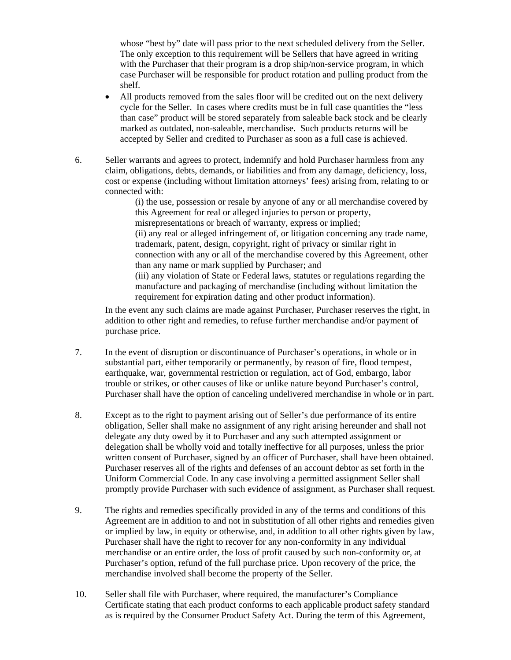whose "best by" date will pass prior to the next scheduled delivery from the Seller. The only exception to this requirement will be Sellers that have agreed in writing with the Purchaser that their program is a drop ship/non-service program, in which case Purchaser will be responsible for product rotation and pulling product from the shelf.

- All products removed from the sales floor will be credited out on the next delivery cycle for the Seller. In cases where credits must be in full case quantities the "less than case" product will be stored separately from saleable back stock and be clearly marked as outdated, non-saleable, merchandise. Such products returns will be accepted by Seller and credited to Purchaser as soon as a full case is achieved.
- 6. Seller warrants and agrees to protect, indemnify and hold Purchaser harmless from any claim, obligations, debts, demands, or liabilities and from any damage, deficiency, loss, cost or expense (including without limitation attorneys' fees) arising from, relating to or connected with:

(i) the use, possession or resale by anyone of any or all merchandise covered by this Agreement for real or alleged injuries to person or property, misrepresentations or breach of warranty, express or implied; (ii) any real or alleged infringement of, or litigation concerning any trade name, trademark, patent, design, copyright, right of privacy or similar right in connection with any or all of the merchandise covered by this Agreement, other than any name or mark supplied by Purchaser; and (iii) any violation of State or Federal laws, statutes or regulations regarding the manufacture and packaging of merchandise (including without limitation the requirement for expiration dating and other product information).

In the event any such claims are made against Purchaser, Purchaser reserves the right, in addition to other right and remedies, to refuse further merchandise and/or payment of purchase price.

- 7. In the event of disruption or discontinuance of Purchaser's operations, in whole or in substantial part, either temporarily or permanently, by reason of fire, flood tempest, earthquake, war, governmental restriction or regulation, act of God, embargo, labor trouble or strikes, or other causes of like or unlike nature beyond Purchaser's control, Purchaser shall have the option of canceling undelivered merchandise in whole or in part.
- 8. Except as to the right to payment arising out of Seller's due performance of its entire obligation, Seller shall make no assignment of any right arising hereunder and shall not delegate any duty owed by it to Purchaser and any such attempted assignment or delegation shall be wholly void and totally ineffective for all purposes, unless the prior written consent of Purchaser, signed by an officer of Purchaser, shall have been obtained. Purchaser reserves all of the rights and defenses of an account debtor as set forth in the Uniform Commercial Code. In any case involving a permitted assignment Seller shall promptly provide Purchaser with such evidence of assignment, as Purchaser shall request.
- 9. The rights and remedies specifically provided in any of the terms and conditions of this Agreement are in addition to and not in substitution of all other rights and remedies given or implied by law, in equity or otherwise, and, in addition to all other rights given by law, Purchaser shall have the right to recover for any non-conformity in any individual merchandise or an entire order, the loss of profit caused by such non-conformity or, at Purchaser's option, refund of the full purchase price. Upon recovery of the price, the merchandise involved shall become the property of the Seller.
- 10. Seller shall file with Purchaser, where required, the manufacturer's Compliance Certificate stating that each product conforms to each applicable product safety standard as is required by the Consumer Product Safety Act. During the term of this Agreement,